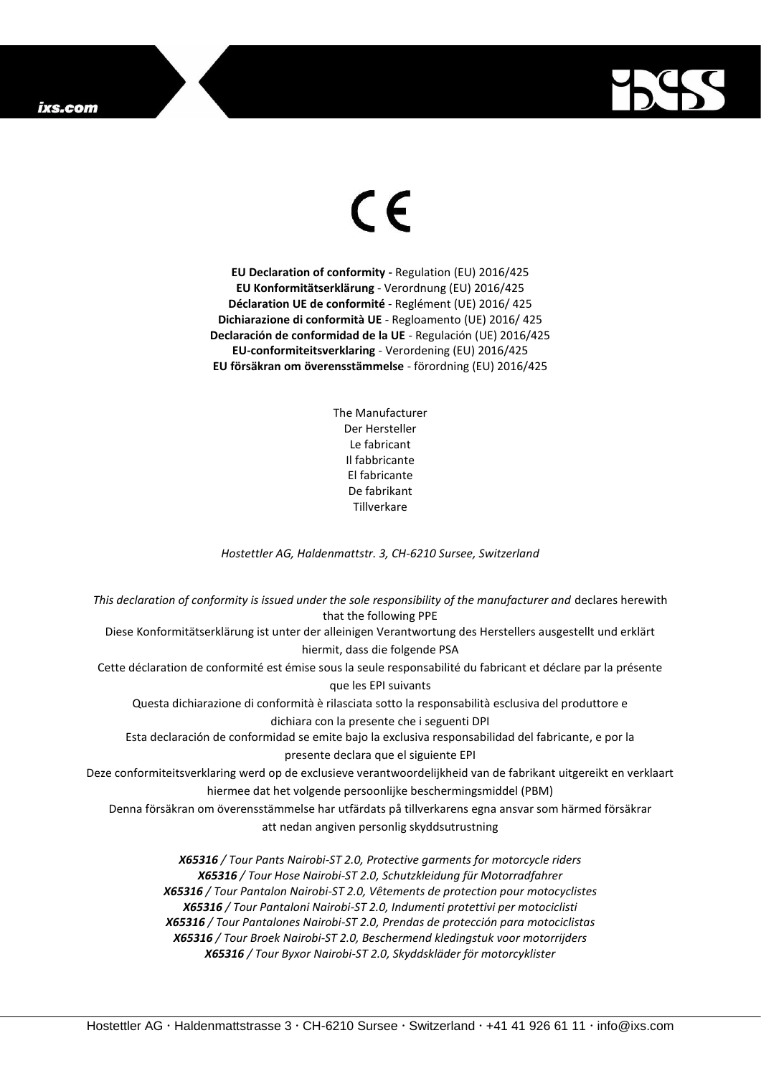## ixs.com



## $\epsilon$

**EU Declaration of conformity -** Regulation (EU) 2016/425 **EU Konformitätserklärung** - Verordnung (EU) 2016/425 **Déclaration UE de conformité** - Reglément (UE) 2016/ 425 **Dichiarazione di conformità UE** - Regloamento (UE) 2016/ 425 **Declaración de conformidad de la UE** - Regulación (UE) 2016/425 **EU-conformiteitsverklaring** - Verordening (EU) 2016/425 **EU försäkran om överensstämmelse** - förordning (EU) 2016/425

> The Manufacturer Der Hersteller Le fabricant Il fabbricante El fabricante De fabrikant **Tillverkare**

*Hostettler AG, Haldenmattstr. 3, CH-6210 Sursee, Switzerland*

*This declaration of conformity is issued under the sole responsibility of the manufacturer and* declares herewith that the following PPE Diese Konformitätserklärung ist unter der alleinigen Verantwortung des Herstellers ausgestellt und erklärt hiermit, dass die folgende PSA Cette déclaration de conformité est émise sous la seule responsabilité du fabricant et déclare par la présente que les EPI suivants Questa dichiarazione di conformità è rilasciata sotto la responsabilità esclusiva del produttore e dichiara con la presente che i seguenti DPI Esta declaración de conformidad se emite bajo la exclusiva responsabilidad del fabricante, e por la presente declara que el siguiente EPI Deze conformiteitsverklaring werd op de exclusieve verantwoordelijkheid van de fabrikant uitgereikt en verklaart hiermee dat het volgende persoonlijke beschermingsmiddel (PBM) Denna försäkran om överensstämmelse har utfärdats på tillverkarens egna ansvar som härmed försäkrar att nedan angiven personlig skyddsutrustning *X65316 / Tour Pants Nairobi-ST 2.0, Protective garments for motorcycle riders X65316 / Tour Hose Nairobi-ST 2.0, Schutzkleidung für Motorradfahrer X65316 / Tour Pantalon Nairobi-ST 2.0, Vêtements de protection pour motocyclistes X65316 / Tour Pantaloni Nairobi-ST 2.0, Indumenti protettivi per motociclisti*

*X65316 / Tour Pantalones Nairobi-ST 2.0, Prendas de protección para motociclistas*

*X65316 / Tour Broek Nairobi-ST 2.0, Beschermend kledingstuk voor motorrijders X65316 / Tour Byxor Nairobi-ST 2.0, Skyddskläder för motorcyklister*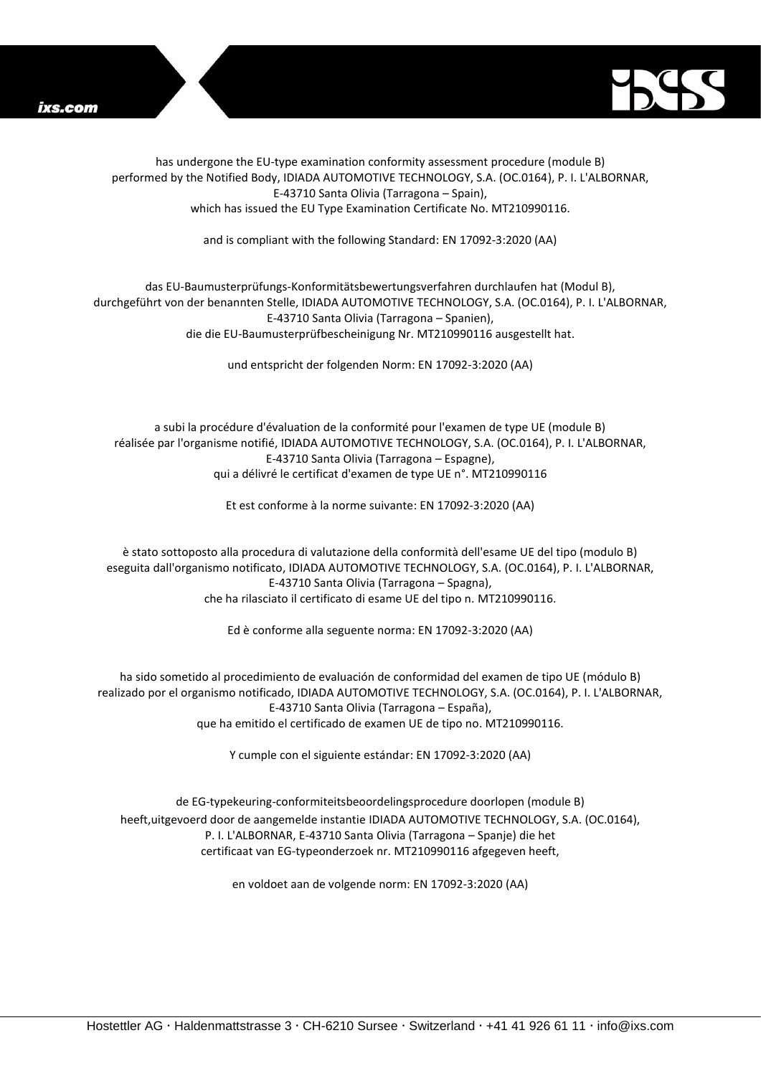



has undergone the EU-type examination conformity assessment procedure (module B) performed by the Notified Body, IDIADA AUTOMOTIVE TECHNOLOGY, S.A. (OC.0164), P. I. L'ALBORNAR, E-43710 Santa Olivia (Tarragona – Spain), which has issued the EU Type Examination Certificate No. MT210990116.

and is compliant with the following Standard: EN 17092-3:2020 (AA)

## das EU-Baumusterprüfungs-Konformitätsbewertungsverfahren durchlaufen hat (Modul B), durchgeführt von der benannten Stelle, IDIADA AUTOMOTIVE TECHNOLOGY, S.A. (OC.0164), P. I. L'ALBORNAR, E-43710 Santa Olivia (Tarragona – Spanien), die die EU-Baumusterprüfbescheinigung Nr. MT210990116 ausgestellt hat.

und entspricht der folgenden Norm: EN 17092-3:2020 (AA)

a subi la procédure d'évaluation de la conformité pour l'examen de type UE (module B) réalisée par l'organisme notifié, IDIADA AUTOMOTIVE TECHNOLOGY, S.A. (OC.0164), P. I. L'ALBORNAR, E-43710 Santa Olivia (Tarragona – Espagne), qui a délivré le certificat d'examen de type UE n°. MT210990116

Et est conforme à la norme suivante: EN 17092-3:2020 (AA)

è stato sottoposto alla procedura di valutazione della conformità dell'esame UE del tipo (modulo B) eseguita dall'organismo notificato, IDIADA AUTOMOTIVE TECHNOLOGY, S.A. (OC.0164), P. I. L'ALBORNAR, E-43710 Santa Olivia (Tarragona – Spagna), che ha rilasciato il certificato di esame UE del tipo n. MT210990116.

Ed è conforme alla seguente norma: EN 17092-3:2020 (AA)

ha sido sometido al procedimiento de evaluación de conformidad del examen de tipo UE (módulo B) realizado por el organismo notificado, IDIADA AUTOMOTIVE TECHNOLOGY, S.A. (OC.0164), P. I. L'ALBORNAR, E-43710 Santa Olivia (Tarragona – España), que ha emitido el certificado de examen UE de tipo no. MT210990116.

Y cumple con el siguiente estándar: EN 17092-3:2020 (AA)

de EG-typekeuring-conformiteitsbeoordelingsprocedure doorlopen (module B) heeft,uitgevoerd door de aangemelde instantie IDIADA AUTOMOTIVE TECHNOLOGY, S.A. (OC.0164), P. I. L'ALBORNAR, E-43710 Santa Olivia (Tarragona – Spanje) die het certificaat van EG-typeonderzoek nr. MT210990116 afgegeven heeft,

en voldoet aan de volgende norm: EN 17092-3:2020 (AA)